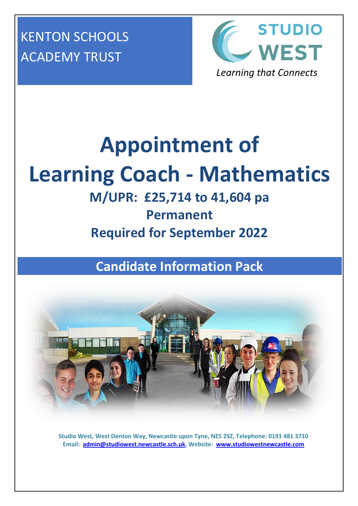KENTON SCHOOLS ACADEMY TRUST



# **Appointment of Learning Coach - Mathematics**

# **M/UPR: £25,714 to 41,604 pa Permanent Required for September 2022**

**Candidate Information Pack**



**Studio West, West Denton Way, Newcastle upon Tyne, NE5 2SZ, Telephone: 0191 481 3710 Email: [admin@studiowest.newcastle.sch.uk,](mailto:admin@studiowest.newcastle.sch.uk) Website: [www.studiowestnewcastle.com](http://www.studiowestnewcastle.com/)**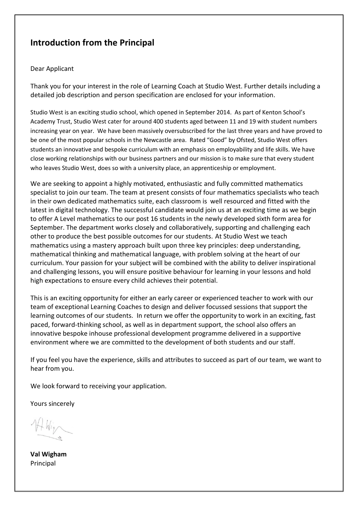## **Introduction from the Principal**

#### Dear Applicant

Thank you for your interest in the role of Learning Coach at Studio West. Further details including a detailed job description and person specification are enclosed for your information.

Studio West is an exciting studio school, which opened in September 2014. As part of Kenton School's Academy Trust, Studio West cater for around 400 students aged between 11 and 19 with student numbers increasing year on year. We have been massively oversubscribed for the last three years and have proved to be one of the most popular schools in the Newcastle area. Rated "Good" by Ofsted, Studio West offers students an innovative and bespoke curriculum with an emphasis on employability and life skills. We have close working relationships with our business partners and our mission is to make sure that every student who leaves Studio West, does so with a university place, an apprenticeship or employment.

We are seeking to appoint a highly motivated, enthusiastic and fully committed mathematics specialist to join our team. The team at present consists of four mathematics specialists who teach in their own dedicated mathematics suite, each classroom is well resourced and fitted with the latest in digital technology. The successful candidate would join us at an exciting time as we begin to offer A Level mathematics to our post 16 students in the newly developed sixth form area for September. The department works closely and collaboratively, supporting and challenging each other to produce the best possible outcomes for our students. At Studio West we teach mathematics using a mastery approach built upon three key principles: deep understanding, mathematical thinking and mathematical language, with problem solving at the heart of our curriculum. Your passion for your subject will be combined with the ability to deliver inspirational and challenging lessons, you will ensure positive behaviour for learning in your lessons and hold high expectations to ensure every child achieves their potential.

This is an exciting opportunity for either an early career or experienced teacher to work with our team of exceptional Learning Coaches to design and deliver focussed sessions that support the learning outcomes of our students. In return we offer the opportunity to work in an exciting, fast paced, forward-thinking school, as well as in department support, the school also offers an innovative bespoke inhouse professional development programme delivered in a supportive environment where we are committed to the development of both students and our staff.

If you feel you have the experience, skills and attributes to succeed as part of our team, we want to hear from you.

We look forward to receiving your application.

Yours sincerely

HWin

**Val Wigham** Principal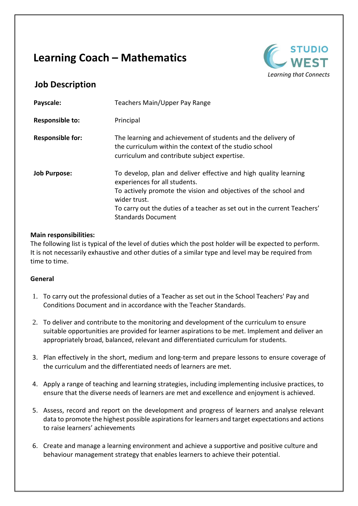## **Learning Coach – Mathematics**



## **Job Description**

| Payscale:               | Teachers Main/Upper Pay Range                                                                                                                                                                                                                                                                 |
|-------------------------|-----------------------------------------------------------------------------------------------------------------------------------------------------------------------------------------------------------------------------------------------------------------------------------------------|
| <b>Responsible to:</b>  | Principal                                                                                                                                                                                                                                                                                     |
| <b>Responsible for:</b> | The learning and achievement of students and the delivery of<br>the curriculum within the context of the studio school<br>curriculum and contribute subject expertise.                                                                                                                        |
| <b>Job Purpose:</b>     | To develop, plan and deliver effective and high quality learning<br>experiences for all students.<br>To actively promote the vision and objectives of the school and<br>wider trust.<br>To carry out the duties of a teacher as set out in the current Teachers'<br><b>Standards Document</b> |

## **Main responsibilities:**

The following list is typical of the level of duties which the post holder will be expected to perform. It is not necessarily exhaustive and other duties of a similar type and level may be required from time to time.

## **General**

- 1. To carry out the professional duties of a Teacher as set out in the School Teachers' Pay and Conditions Document and in accordance with the Teacher Standards.
- 2. To deliver and contribute to the monitoring and development of the curriculum to ensure suitable opportunities are provided for learner aspirations to be met. Implement and deliver an appropriately broad, balanced, relevant and differentiated curriculum for students.
- 3. Plan effectively in the short, medium and long-term and prepare lessons to ensure coverage of the curriculum and the differentiated needs of learners are met.
- 4. Apply a range of teaching and learning strategies, including implementing inclusive practices, to ensure that the diverse needs of learners are met and excellence and enjoyment is achieved.
- 5. Assess, record and report on the development and progress of learners and analyse relevant data to promote the highest possible aspirations for learners and target expectations and actions to raise learners' achievements
- 6. Create and manage a learning environment and achieve a supportive and positive culture and behaviour management strategy that enables learners to achieve their potential.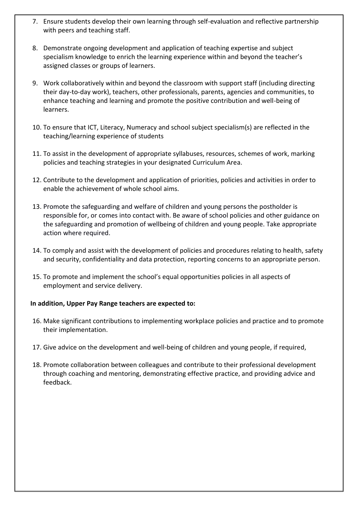- 7. Ensure students develop their own learning through self-evaluation and reflective partnership with peers and teaching staff.
- 8. Demonstrate ongoing development and application of teaching expertise and subject specialism knowledge to enrich the learning experience within and beyond the teacher's assigned classes or groups of learners.
- 9. Work collaboratively within and beyond the classroom with support staff (including directing their day-to-day work), teachers, other professionals, parents, agencies and communities, to enhance teaching and learning and promote the positive contribution and well-being of learners.
- 10. To ensure that ICT, Literacy, Numeracy and school subject specialism(s) are reflected in the teaching/learning experience of students
- 11. To assist in the development of appropriate syllabuses, resources, schemes of work, marking policies and teaching strategies in your designated Curriculum Area.
- 12. Contribute to the development and application of priorities, policies and activities in order to enable the achievement of whole school aims.
- 13. Promote the safeguarding and welfare of children and young persons the postholder is responsible for, or comes into contact with. Be aware of school policies and other guidance on the safeguarding and promotion of wellbeing of children and young people. Take appropriate action where required.
- 14. To comply and assist with the development of policies and procedures relating to health, safety and security, confidentiality and data protection, reporting concerns to an appropriate person.
- 15. To promote and implement the school's equal opportunities policies in all aspects of employment and service delivery.

## **In addition, Upper Pay Range teachers are expected to:**

- 16. Make significant contributions to implementing workplace policies and practice and to promote their implementation.
- 17. Give advice on the development and well-being of children and young people, if required,
- 18. Promote collaboration between colleagues and contribute to their professional development through coaching and mentoring, demonstrating effective practice, and providing advice and feedback.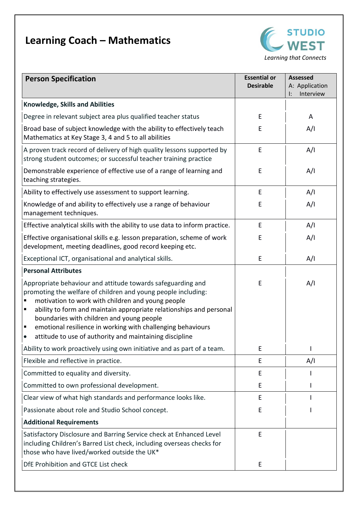## **Learning Coach – Mathematics**



| <b>Person Specification</b>                                                                                                                                                                                                                                                                                                                                                                                                                                         | <b>Essential or</b> | Assessed                                      |
|---------------------------------------------------------------------------------------------------------------------------------------------------------------------------------------------------------------------------------------------------------------------------------------------------------------------------------------------------------------------------------------------------------------------------------------------------------------------|---------------------|-----------------------------------------------|
|                                                                                                                                                                                                                                                                                                                                                                                                                                                                     | <b>Desirable</b>    | A: Application<br>Interview<br>$\mathsf{I}$ : |
| <b>Knowledge, Skills and Abilities</b>                                                                                                                                                                                                                                                                                                                                                                                                                              |                     |                                               |
| Degree in relevant subject area plus qualified teacher status                                                                                                                                                                                                                                                                                                                                                                                                       | E                   | A                                             |
| Broad base of subject knowledge with the ability to effectively teach<br>Mathematics at Key Stage 3, 4 and 5 to all abilities                                                                                                                                                                                                                                                                                                                                       | E                   | A/I                                           |
| A proven track record of delivery of high quality lessons supported by<br>strong student outcomes; or successful teacher training practice                                                                                                                                                                                                                                                                                                                          | E                   | A/I                                           |
| Demonstrable experience of effective use of a range of learning and<br>teaching strategies.                                                                                                                                                                                                                                                                                                                                                                         | E                   | A/I                                           |
| Ability to effectively use assessment to support learning.                                                                                                                                                                                                                                                                                                                                                                                                          | E                   | A/I                                           |
| Knowledge of and ability to effectively use a range of behaviour<br>management techniques.                                                                                                                                                                                                                                                                                                                                                                          | E                   | A/I                                           |
| Effective analytical skills with the ability to use data to inform practice.                                                                                                                                                                                                                                                                                                                                                                                        | E                   | A/I                                           |
| Effective organisational skills e.g. lesson preparation, scheme of work<br>development, meeting deadlines, good record keeping etc.                                                                                                                                                                                                                                                                                                                                 | Ε                   | A/I                                           |
| Exceptional ICT, organisational and analytical skills.                                                                                                                                                                                                                                                                                                                                                                                                              | E                   | A/I                                           |
| <b>Personal Attributes</b>                                                                                                                                                                                                                                                                                                                                                                                                                                          |                     |                                               |
| Appropriate behaviour and attitude towards safeguarding and<br>promoting the welfare of children and young people including:<br>motivation to work with children and young people<br>ability to form and maintain appropriate relationships and personal<br>$\blacksquare$<br>boundaries with children and young people<br>emotional resilience in working with challenging behaviours<br>п<br>attitude to use of authority and maintaining discipline<br>$\bullet$ | E                   | A/I                                           |
| Ability to work proactively using own initiative and as part of a team.                                                                                                                                                                                                                                                                                                                                                                                             | Ε                   |                                               |
| Flexible and reflective in practice.                                                                                                                                                                                                                                                                                                                                                                                                                                | E                   | A/I                                           |
| Committed to equality and diversity.                                                                                                                                                                                                                                                                                                                                                                                                                                | Е                   |                                               |
| Committed to own professional development.                                                                                                                                                                                                                                                                                                                                                                                                                          | Е                   |                                               |
| Clear view of what high standards and performance looks like.                                                                                                                                                                                                                                                                                                                                                                                                       | E                   |                                               |
| Passionate about role and Studio School concept.                                                                                                                                                                                                                                                                                                                                                                                                                    | Ε                   |                                               |
| <b>Additional Requirements</b>                                                                                                                                                                                                                                                                                                                                                                                                                                      |                     |                                               |
| Satisfactory Disclosure and Barring Service check at Enhanced Level<br>including Children's Barred List check, including overseas checks for<br>those who have lived/worked outside the UK*                                                                                                                                                                                                                                                                         | E                   |                                               |
| DfE Prohibition and GTCE List check                                                                                                                                                                                                                                                                                                                                                                                                                                 | E                   |                                               |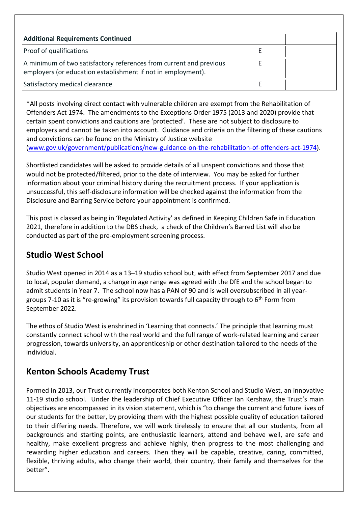| <b>Additional Requirements Continued</b>                                                                                           |  |
|------------------------------------------------------------------------------------------------------------------------------------|--|
| <b>Proof of qualifications</b>                                                                                                     |  |
| A minimum of two satisfactory references from current and previous<br>employers (or education establishment if not in employment). |  |
| Satisfactory medical clearance                                                                                                     |  |

\*All posts involving direct contact with vulnerable children are exempt from the Rehabilitation of Offenders Act 1974. The amendments to the Exceptions Order 1975 (2013 and 2020) provide that certain spent convictions and cautions are 'protected'. These are not subject to disclosure to employers and cannot be taken into account. Guidance and criteria on the filtering of these cautions and convictions can be found on the Ministry of Justice website [\(www.gov.uk/government/publications/new-guidance-on-the-rehabilitation-of-offenders-act-1974\)](http://www.gov.uk/government/publications/new-guidance-on-the-rehabilitation-of-offenders-act-1974).

Shortlisted candidates will be asked to provide details of all unspent convictions and those that would not be protected/filtered, prior to the date of interview. You may be asked for further information about your criminal history during the recruitment process. If your application is unsuccessful, this self-disclosure information will be checked against the information from the Disclosure and Barring Service before your appointment is confirmed.

This post is classed as being in 'Regulated Activity' as defined in Keeping Children Safe in Education 2021, therefore in addition to the DBS check, a check of the Children's Barred List will also be conducted as part of the pre-employment screening process.

## **Studio West School**

Studio West opened in 2014 as a 13–19 studio school but, with effect from September 2017 and due to local, popular demand, a change in age range was agreed with the DfE and the school began to admit students in Year 7. The school now has a PAN of 90 and is well oversubscribed in all yeargroups 7-10 as it is "re-growing" its provision towards full capacity through to  $6<sup>th</sup>$  Form from September 2022.

The ethos of Studio West is enshrined in 'Learning that connects.' The principle that learning must constantly connect school with the real world and the full range of work-related learning and career progression, towards university, an apprenticeship or other destination tailored to the needs of the individual.

## **Kenton Schools Academy Trust**

Formed in 2013, our Trust currently incorporates both Kenton School and Studio West, an innovative 11-19 studio school. Under the leadership of Chief Executive Officer Ian Kershaw, the Trust's main objectives are encompassed in its vision statement, which is "to change the current and future lives of our students for the better, by providing them with the highest possible quality of education tailored to their differing needs. Therefore, we will work tirelessly to ensure that all our students, from all backgrounds and starting points, are enthusiastic learners, attend and behave well, are safe and healthy, make excellent progress and achieve highly, then progress to the most challenging and rewarding higher education and careers. Then they will be capable, creative, caring, committed, flexible, thriving adults, who change their world, their country, their family and themselves for the better".